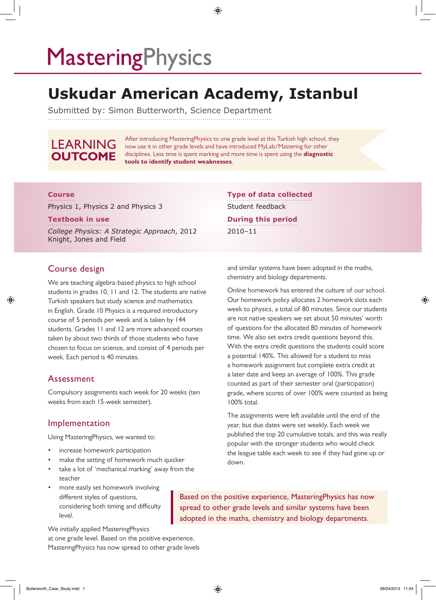# **MasteringPhysics**

## **Uskudar American Academy, Istanbul**

⊕

Submitted by: Simon Butterworth, Science Department

### LEARNING **OUTCOME**

After introducing MasteringPhysics to one grade level at this Turkish high school, they now use it in other grade levels and have introduced MyLab/Mastering for other disciplines. Less time is spent marking and more time is spent using the **diagnostic tools to identify student weaknesses**.

#### **Course**

Physics 1, Physics 2 and Physics 3

#### **Textbook in use**

*College Physics: A Strategic Approach*, 2012 Knight, Jones and Field

#### Course design

◈

We are teaching algebra-based physics to high school students in grades 10, 11 and 12. The students are native Turkish speakers but study science and mathematics in English. Grade 10 Physics is a required introductory course of 5 periods per week and is taken by 144 students. Grades 11 and 12 are more advanced courses taken by about two thirds of those students who have chosen to focus on science, and consist of 4 periods per week. Each period is 40 minutes.

#### Assessment

Compulsory assignments each week for 20 weeks (ten weeks from each 15-week semester).

#### Implementation

Using MasteringPhysics, we wanted to:

- increase homework participation
- make the setting of homework much quicker
- take a lot of 'mechanical marking' away from the teacher
- more easily set homework involving different styles of questions, considering both timing and difficulty level.

Based on the positive experience, MasteringPhysics has now spread to other grade levels and similar systems have been adopted in the maths, chemistry and biology departments.

We initially applied MasteringPhysics

at one grade level. Based on the positive experience, MasteringPhysics has now spread to other grade levels and similar systems have been adopted in the maths, chemistry and biology departments.

**Type of data collected**

Student feedback

2010–11

**During this period**

Online homework has entered the culture of our school. Our homework policy allocates 2 homework slots each week to physics, a total of 80 minutes. Since our students are not native speakers we set about 50 minutes' worth of questions for the allocated 80 minutes of homework time. We also set extra credit questions beyond this. With the extra credit questions the students could score a potential 140%. This allowed for a student to miss a homework assignment but complete extra credit at a later date and keep an average of 100%. This grade counted as part of their semester oral (participation) grade, where scores of over 100% were counted as being 100% total.

The assignments were left available until the end of the year, but due dates were set weekly. Each week we published the top 20 cumulative totals, and this was really popular with the stronger students who would check the league table each week to see if they had gone up or down.

◈